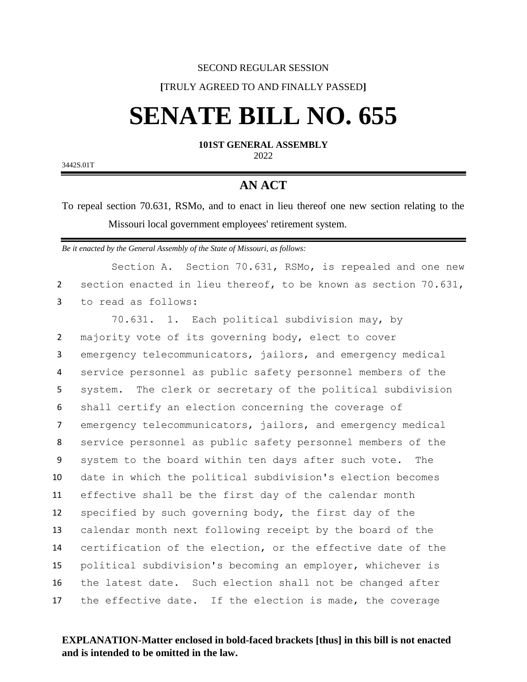#### SECOND REGULAR SESSION

### **[**TRULY AGREED TO AND FINALLY PASSED**]**

# **SENATE BILL NO. 655**

**101ST GENERAL ASSEMBLY** 2022

3442S.01T

## **AN ACT**

To repeal section 70.631, RSMo, and to enact in lieu thereof one new section relating to the Missouri local government employees' retirement system.

*Be it enacted by the General Assembly of the State of Missouri, as follows:*

Section A. Section 70.631, RSMo, is repealed and one new 2 section enacted in lieu thereof, to be known as section 70.631, 3 to read as follows:

 70.631. 1. Each political subdivision may, by majority vote of its governing body, elect to cover emergency telecommunicators, jailors, and emergency medical service personnel as public safety personnel members of the system. The clerk or secretary of the political subdivision shall certify an election concerning the coverage of emergency telecommunicators, jailors, and emergency medical service personnel as public safety personnel members of the system to the board within ten days after such vote. The date in which the political subdivision's election becomes effective shall be the first day of the calendar month specified by such governing body, the first day of the calendar month next following receipt by the board of the certification of the election, or the effective date of the political subdivision's becoming an employer, whichever is the latest date. Such election shall not be changed after 17 the effective date. If the election is made, the coverage

### **EXPLANATION-Matter enclosed in bold-faced brackets [thus] in this bill is not enacted and is intended to be omitted in the law.**